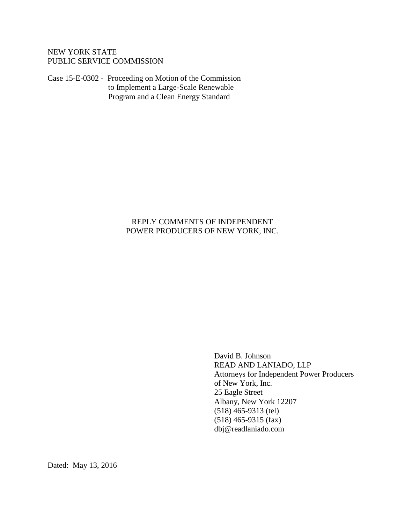# NEW YORK STATE PUBLIC SERVICE COMMISSION

Case 15-E-0302 - Proceeding on Motion of the Commission to Implement a Large-Scale Renewable Program and a Clean Energy Standard

### REPLY COMMENTS OF INDEPENDENT POWER PRODUCERS OF NEW YORK, INC.

David B. Johnson READ AND LANIADO, LLP Attorneys for Independent Power Producers of New York, Inc. 25 Eagle Street Albany, New York 12207 (518) 465-9313 (tel) (518) 465-9315 (fax) dbj@readlaniado.com

Dated: May 13, 2016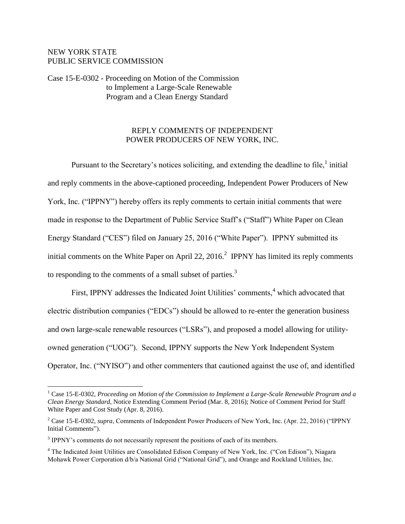## NEW YORK STATE PUBLIC SERVICE COMMISSION

 $\overline{a}$ 

Case 15-E-0302 - Proceeding on Motion of the Commission to Implement a Large-Scale Renewable Program and a Clean Energy Standard

#### REPLY COMMENTS OF INDEPENDENT POWER PRODUCERS OF NEW YORK, INC.

Pursuant to the Secretary's notices soliciting, and extending the deadline to file, $1$  initial and reply comments in the above-captioned proceeding, Independent Power Producers of New York, Inc. ("IPPNY") hereby offers its reply comments to certain initial comments that were made in response to the Department of Public Service Staff's ("Staff") White Paper on Clean Energy Standard ("CES") filed on January 25, 2016 ("White Paper"). IPPNY submitted its initial comments on the White Paper on April 22, 2016.<sup>2</sup> IPPNY has limited its reply comments to responding to the comments of a small subset of parties. $3$ 

First, IPPNY addresses the Indicated Joint Utilities' comments,<sup>4</sup> which advocated that electric distribution companies ("EDCs") should be allowed to re-enter the generation business and own large-scale renewable resources ("LSRs"), and proposed a model allowing for utilityowned generation ("UOG"). Second, IPPNY supports the New York Independent System Operator, Inc. ("NYISO") and other commenters that cautioned against the use of, and identified

<sup>&</sup>lt;sup>1</sup> Case 15-E-0302, *Proceeding on Motion of the Commission to Implement a Large-Scale Renewable Program and a Clean Energy Standard*, Notice Extending Comment Period (Mar. 8, 2016); Notice of Comment Period for Staff White Paper and Cost Study (Apr. 8, 2016).

<sup>2</sup> Case 15-E-0302, *supra*, Comments of Independent Power Producers of New York, Inc. (Apr. 22, 2016) ("IPPNY Initial Comments").

 $3$  IPPNY's comments do not necessarily represent the positions of each of its members.

<sup>4</sup> The Indicated Joint Utilities are Consolidated Edison Company of New York, Inc. ("Con Edison"), Niagara Mohawk Power Corporation d/b/a National Grid ("National Grid"), and Orange and Rockland Utilities, Inc.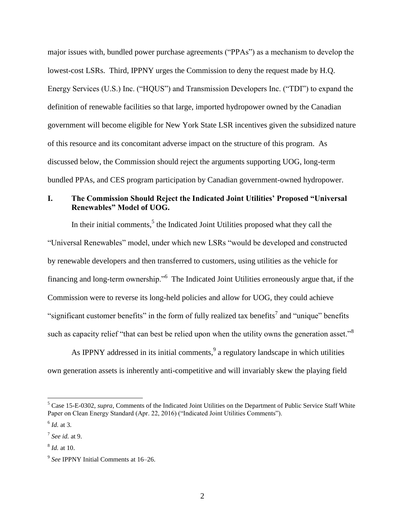major issues with, bundled power purchase agreements ("PPAs") as a mechanism to develop the lowest-cost LSRs. Third, IPPNY urges the Commission to deny the request made by H.Q. Energy Services (U.S.) Inc. ("HQUS") and Transmission Developers Inc. ("TDI") to expand the definition of renewable facilities so that large, imported hydropower owned by the Canadian government will become eligible for New York State LSR incentives given the subsidized nature of this resource and its concomitant adverse impact on the structure of this program. As discussed below, the Commission should reject the arguments supporting UOG, long-term bundled PPAs, and CES program participation by Canadian government-owned hydropower.

# **I. The Commission Should Reject the Indicated Joint Utilities' Proposed "Universal Renewables" Model of UOG.**

In their initial comments, $<sup>5</sup>$  the Indicated Joint Utilities proposed what they call the</sup> "Universal Renewables" model, under which new LSRs "would be developed and constructed by renewable developers and then transferred to customers, using utilities as the vehicle for financing and long-term ownership."<sup>6</sup> The Indicated Joint Utilities erroneously argue that, if the Commission were to reverse its long-held policies and allow for UOG, they could achieve "significant customer benefits" in the form of fully realized tax benefits<sup>7</sup> and "unique" benefits such as capacity relief "that can best be relied upon when the utility owns the generation asset."<sup>8</sup>

As IPPNY addressed in its initial comments,  $9$  a regulatory landscape in which utilities own generation assets is inherently anti-competitive and will invariably skew the playing field

<sup>&</sup>lt;sup>5</sup> Case 15-E-0302, *supra*, Comments of the Indicated Joint Utilities on the Department of Public Service Staff White Paper on Clean Energy Standard (Apr. 22, 2016) ("Indicated Joint Utilities Comments").

<sup>6</sup> *Id.* at 3.

<sup>7</sup> *See id.* at 9.

<sup>8</sup> *Id.* at 10.

<sup>9</sup> *See* IPPNY Initial Comments at 16–26.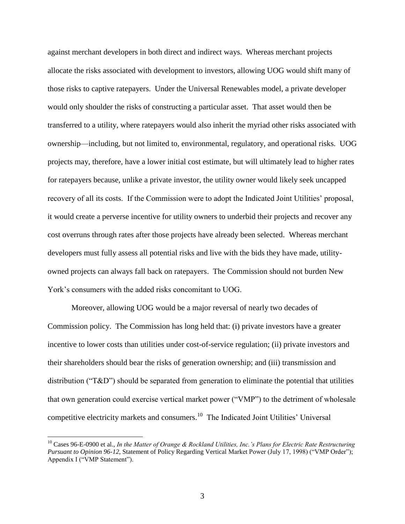against merchant developers in both direct and indirect ways. Whereas merchant projects allocate the risks associated with development to investors, allowing UOG would shift many of those risks to captive ratepayers. Under the Universal Renewables model, a private developer would only shoulder the risks of constructing a particular asset. That asset would then be transferred to a utility, where ratepayers would also inherit the myriad other risks associated with ownership—including, but not limited to, environmental, regulatory, and operational risks. UOG projects may, therefore, have a lower initial cost estimate, but will ultimately lead to higher rates for ratepayers because, unlike a private investor, the utility owner would likely seek uncapped recovery of all its costs. If the Commission were to adopt the Indicated Joint Utilities' proposal, it would create a perverse incentive for utility owners to underbid their projects and recover any cost overruns through rates after those projects have already been selected. Whereas merchant developers must fully assess all potential risks and live with the bids they have made, utilityowned projects can always fall back on ratepayers. The Commission should not burden New York's consumers with the added risks concomitant to UOG.

Moreover, allowing UOG would be a major reversal of nearly two decades of Commission policy. The Commission has long held that: (i) private investors have a greater incentive to lower costs than utilities under cost-of-service regulation; (ii) private investors and their shareholders should bear the risks of generation ownership; and (iii) transmission and distribution (" $T&D$ ") should be separated from generation to eliminate the potential that utilities that own generation could exercise vertical market power ("VMP") to the detriment of wholesale competitive electricity markets and consumers.<sup>10</sup> The Indicated Joint Utilities' Universal

<sup>&</sup>lt;sup>10</sup> Cases 96-E-0900 et al., *In the Matter of Orange & Rockland Utilities, Inc.'s Plans for Electric Rate Restructuring Pursuant to Opinion 96-12*, Statement of Policy Regarding Vertical Market Power (July 17, 1998) ("VMP Order"); Appendix I ("VMP Statement").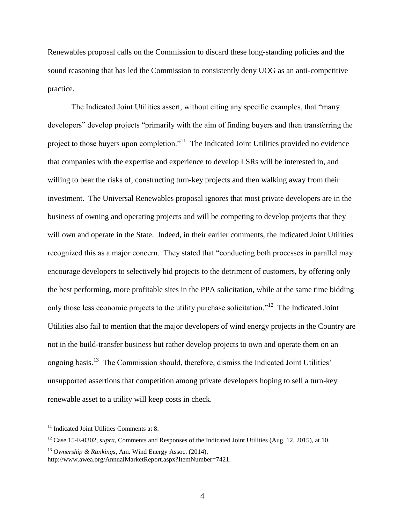Renewables proposal calls on the Commission to discard these long-standing policies and the sound reasoning that has led the Commission to consistently deny UOG as an anti-competitive practice.

The Indicated Joint Utilities assert, without citing any specific examples, that "many developers" develop projects "primarily with the aim of finding buyers and then transferring the project to those buyers upon completion."<sup>11</sup> The Indicated Joint Utilities provided no evidence that companies with the expertise and experience to develop LSRs will be interested in, and willing to bear the risks of, constructing turn-key projects and then walking away from their investment. The Universal Renewables proposal ignores that most private developers are in the business of owning and operating projects and will be competing to develop projects that they will own and operate in the State. Indeed, in their earlier comments, the Indicated Joint Utilities recognized this as a major concern. They stated that "conducting both processes in parallel may encourage developers to selectively bid projects to the detriment of customers, by offering only the best performing, more profitable sites in the PPA solicitation, while at the same time bidding only those less economic projects to the utility purchase solicitation."<sup>12</sup> The Indicated Joint Utilities also fail to mention that the major developers of wind energy projects in the Country are not in the build-transfer business but rather develop projects to own and operate them on an ongoing basis.<sup>13</sup> The Commission should, therefore, dismiss the Indicated Joint Utilities' unsupported assertions that competition among private developers hoping to sell a turn-key renewable asset to a utility will keep costs in check.

 $11$  Indicated Joint Utilities Comments at 8.

<sup>&</sup>lt;sup>12</sup> Case 15-E-0302, *supra*, Comments and Responses of the Indicated Joint Utilities (Aug. 12, 2015), at 10.

<sup>13</sup> *Ownership & Rankings*, Am. Wind Energy Assoc. (2014),

http://www.awea.org/AnnualMarketReport.aspx?ItemNumber=7421.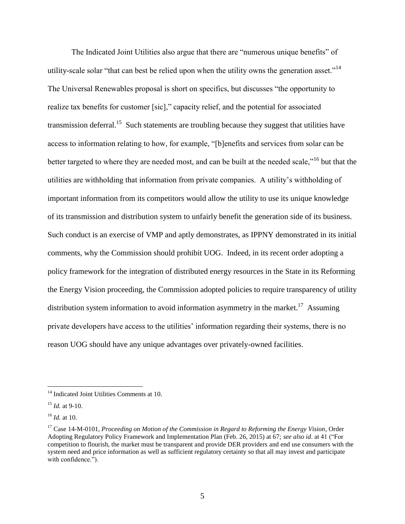The Indicated Joint Utilities also argue that there are "numerous unique benefits" of utility-scale solar "that can best be relied upon when the utility owns the generation asset."<sup>14</sup> The Universal Renewables proposal is short on specifics, but discusses "the opportunity to realize tax benefits for customer [sic]," capacity relief, and the potential for associated transmission deferral.<sup>15</sup> Such statements are troubling because they suggest that utilities have access to information relating to how, for example, "[b]enefits and services from solar can be better targeted to where they are needed most, and can be built at the needed scale,"<sup>16</sup> but that the utilities are withholding that information from private companies. A utility's withholding of important information from its competitors would allow the utility to use its unique knowledge of its transmission and distribution system to unfairly benefit the generation side of its business. Such conduct is an exercise of VMP and aptly demonstrates, as IPPNY demonstrated in its initial comments, why the Commission should prohibit UOG. Indeed, in its recent order adopting a policy framework for the integration of distributed energy resources in the State in its Reforming the Energy Vision proceeding, the Commission adopted policies to require transparency of utility distribution system information to avoid information asymmetry in the market.<sup>17</sup> Assuming private developers have access to the utilities' information regarding their systems, there is no reason UOG should have any unique advantages over privately-owned facilities.

<sup>&</sup>lt;sup>14</sup> Indicated Joint Utilities Comments at 10.

<sup>15</sup> *Id.* at 9-10.

<sup>16</sup> *Id.* at 10.

<sup>17</sup> Case 14-M-0101, *Proceeding on Motion of the Commission in Regard to Reforming the Energy Vision*, Order Adopting Regulatory Policy Framework and Implementation Plan (Feb. 26, 2015) at 67; *see also id*. at 41 ("For competition to flourish, the market must be transparent and provide DER providers and end use consumers with the system need and price information as well as sufficient regulatory certainty so that all may invest and participate with confidence.").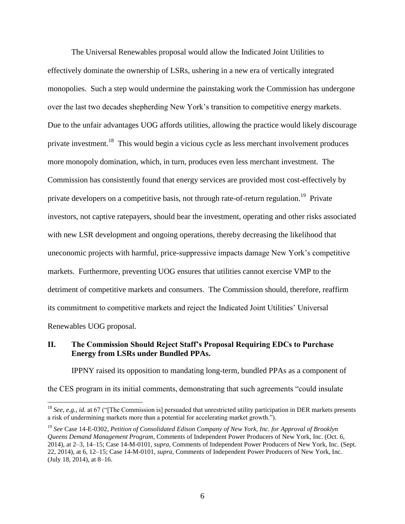The Universal Renewables proposal would allow the Indicated Joint Utilities to effectively dominate the ownership of LSRs, ushering in a new era of vertically integrated monopolies. Such a step would undermine the painstaking work the Commission has undergone over the last two decades shepherding New York's transition to competitive energy markets. Due to the unfair advantages UOG affords utilities, allowing the practice would likely discourage private investment.<sup>18</sup> This would begin a vicious cycle as less merchant involvement produces more monopoly domination, which, in turn, produces even less merchant investment. The Commission has consistently found that energy services are provided most cost-effectively by private developers on a competitive basis, not through rate-of-return regulation.<sup>19</sup> Private investors, not captive ratepayers, should bear the investment, operating and other risks associated with new LSR development and ongoing operations, thereby decreasing the likelihood that uneconomic projects with harmful, price-suppressive impacts damage New York's competitive markets. Furthermore, preventing UOG ensures that utilities cannot exercise VMP to the detriment of competitive markets and consumers. The Commission should, therefore, reaffirm its commitment to competitive markets and reject the Indicated Joint Utilities' Universal Renewables UOG proposal.

#### **II. The Commission Should Reject Staff's Proposal Requiring EDCs to Purchase Energy from LSRs under Bundled PPAs.**

 $\overline{a}$ 

IPPNY raised its opposition to mandating long-term, bundled PPAs as a component of the CES program in its initial comments, demonstrating that such agreements "could insulate

<sup>18</sup> *See, e.g.*, *id.* at 67 ("[The Commission is] persuaded that unrestricted utility participation in DER markets presents a risk of undermining markets more than a potential for accelerating market growth.").

<sup>19</sup> *See* Case 14-E-0302, *Petition of Consolidated Edison Company of New York, Inc. for Approval of Brooklyn Queens Demand Management Program*, Comments of Independent Power Producers of New York, Inc. (Oct. 6, 2014), at 2–3, 14–15; Case 14-M-0101, *supra*, Comments of Independent Power Producers of New York, Inc. (Sept. 22, 2014), at 6, 12–15; Case 14-M-0101, *supra*, Comments of Independent Power Producers of New York, Inc. (July 18, 2014), at 8–16.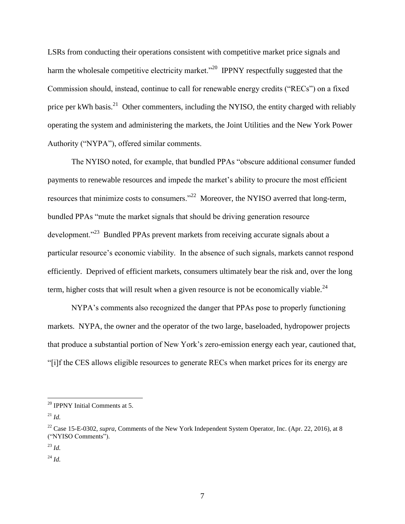LSRs from conducting their operations consistent with competitive market price signals and harm the wholesale competitive electricity market.<sup>320</sup> IPPNY respectfully suggested that the Commission should, instead, continue to call for renewable energy credits ("RECs") on a fixed price per kWh basis.<sup>21</sup> Other commenters, including the NYISO, the entity charged with reliably operating the system and administering the markets, the Joint Utilities and the New York Power Authority ("NYPA"), offered similar comments.

The NYISO noted, for example, that bundled PPAs "obscure additional consumer funded payments to renewable resources and impede the market's ability to procure the most efficient resources that minimize costs to consumers."<sup>22</sup> Moreover, the NYISO averred that long-term, bundled PPAs "mute the market signals that should be driving generation resource development."<sup>23</sup> Bundled PPAs prevent markets from receiving accurate signals about a particular resource's economic viability. In the absence of such signals, markets cannot respond efficiently. Deprived of efficient markets, consumers ultimately bear the risk and, over the long term, higher costs that will result when a given resource is not be economically viable.<sup>24</sup>

NYPA's comments also recognized the danger that PPAs pose to properly functioning markets. NYPA, the owner and the operator of the two large, baseloaded, hydropower projects that produce a substantial portion of New York's zero-emission energy each year, cautioned that, "[i]f the CES allows eligible resources to generate RECs when market prices for its energy are

 $20$  IPPNY Initial Comments at 5.

 $^{21}$  *Id.* 

<sup>&</sup>lt;sup>22</sup> Case 15-E-0302, *supra*, Comments of the New York Independent System Operator, Inc. (Apr. 22, 2016), at 8 ("NYISO Comments").

<sup>23</sup> *Id.*

<sup>24</sup> *Id.*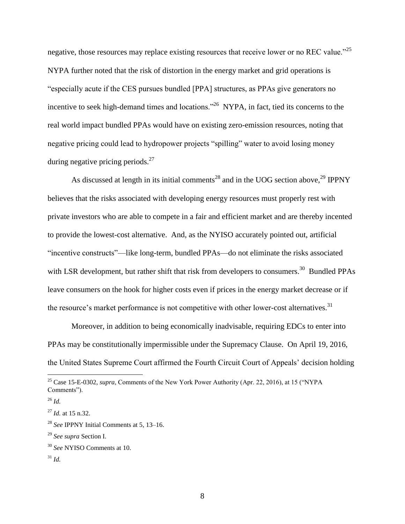negative, those resources may replace existing resources that receive lower or no REC value."<sup>25</sup> NYPA further noted that the risk of distortion in the energy market and grid operations is "especially acute if the CES pursues bundled [PPA] structures, as PPAs give generators no incentive to seek high-demand times and locations.<sup>226</sup> NYPA, in fact, tied its concerns to the real world impact bundled PPAs would have on existing zero-emission resources, noting that negative pricing could lead to hydropower projects "spilling" water to avoid losing money during negative pricing periods. $27$ 

As discussed at length in its initial comments<sup>28</sup> and in the UOG section above,<sup>29</sup> IPPNY believes that the risks associated with developing energy resources must properly rest with private investors who are able to compete in a fair and efficient market and are thereby incented to provide the lowest-cost alternative. And, as the NYISO accurately pointed out, artificial "incentive constructs"—like long-term, bundled PPAs—do not eliminate the risks associated with LSR development, but rather shift that risk from developers to consumers.<sup>30</sup> Bundled PPAs leave consumers on the hook for higher costs even if prices in the energy market decrease or if the resource's market performance is not competitive with other lower-cost alternatives.<sup>31</sup>

Moreover, in addition to being economically inadvisable, requiring EDCs to enter into PPAs may be constitutionally impermissible under the Supremacy Clause. On April 19, 2016, the United States Supreme Court affirmed the Fourth Circuit Court of Appeals' decision holding

 $\overline{a}$ 

<sup>31</sup> *Id.*

<sup>&</sup>lt;sup>25</sup> Case 15-E-0302, *supra*, Comments of the New York Power Authority (Apr. 22, 2016), at 15 ("NYPA" Comments").

<sup>26</sup> *Id.*

<sup>27</sup> *Id.* at 15 n.32.

<sup>28</sup> *See* IPPNY Initial Comments at 5, 13–16.

<sup>29</sup> *See supra* Section I.

<sup>30</sup> *See* NYISO Comments at 10.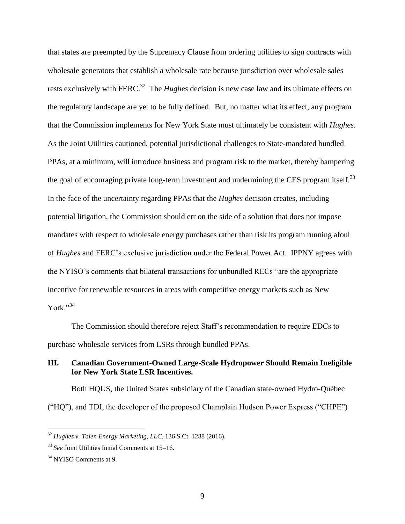that states are preempted by the Supremacy Clause from ordering utilities to sign contracts with wholesale generators that establish a wholesale rate because jurisdiction over wholesale sales rests exclusively with FERC.<sup>32</sup> The *Hughes* decision is new case law and its ultimate effects on the regulatory landscape are yet to be fully defined. But, no matter what its effect, any program that the Commission implements for New York State must ultimately be consistent with *Hughes*. As the Joint Utilities cautioned, potential jurisdictional challenges to State-mandated bundled PPAs, at a minimum, will introduce business and program risk to the market, thereby hampering the goal of encouraging private long-term investment and undermining the CES program itself.<sup>33</sup> In the face of the uncertainty regarding PPAs that the *Hughes* decision creates, including potential litigation, the Commission should err on the side of a solution that does not impose mandates with respect to wholesale energy purchases rather than risk its program running afoul of *Hughes* and FERC's exclusive jurisdiction under the Federal Power Act. IPPNY agrees with the NYISO's comments that bilateral transactions for unbundled RECs "are the appropriate incentive for renewable resources in areas with competitive energy markets such as New York."34

The Commission should therefore reject Staff's recommendation to require EDCs to purchase wholesale services from LSRs through bundled PPAs.

# **III. Canadian Government-Owned Large-Scale Hydropower Should Remain Ineligible for New York State LSR Incentives.**

Both HQUS, the United States subsidiary of the Canadian state-owned Hydro-Québec ("HQ"), and TDI, the developer of the proposed Champlain Hudson Power Express ("CHPE")

<sup>32</sup> *Hughes v. Talen Energy Marketing, LLC*, 136 S.Ct. 1288 (2016).

<sup>33</sup> *See* Joint Utilities Initial Comments at 15–16.

<sup>34</sup> NYISO Comments at 9.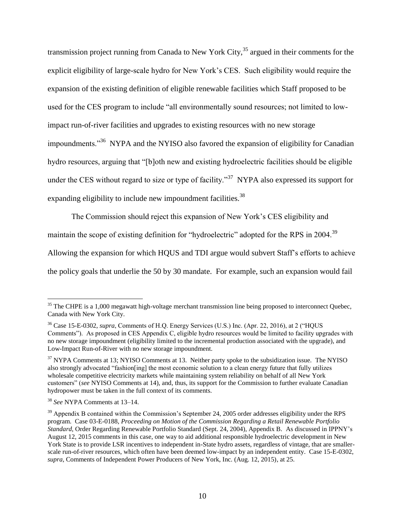transmission project running from Canada to New York City,  $35$  argued in their comments for the explicit eligibility of large-scale hydro for New York's CES. Such eligibility would require the expansion of the existing definition of eligible renewable facilities which Staff proposed to be used for the CES program to include "all environmentally sound resources; not limited to lowimpact run-of-river facilities and upgrades to existing resources with no new storage impoundments."<sup>36</sup> NYPA and the NYISO also favored the expansion of eligibility for Canadian hydro resources, arguing that "[b]oth new and existing hydroelectric facilities should be eligible under the CES without regard to size or type of facility."<sup>37</sup> NYPA also expressed its support for expanding eligibility to include new impoundment facilities.<sup>38</sup>

The Commission should reject this expansion of New York's CES eligibility and

maintain the scope of existing definition for "hydroelectric" adopted for the RPS in 2004.<sup>39</sup>

Allowing the expansion for which HQUS and TDI argue would subvert Staff's efforts to achieve

the policy goals that underlie the 50 by 30 mandate. For example, such an expansion would fail

<sup>&</sup>lt;sup>35</sup> The CHPE is a 1,000 megawatt high-voltage merchant transmission line being proposed to interconnect Quebec, Canada with New York City.

<sup>36</sup> Case 15-E-0302, *supra*, Comments of H.Q. Energy Services (U.S.) Inc. (Apr. 22, 2016), at 2 ("HQUS Comments"). As proposed in CES Appendix C, eligible hydro resources would be limited to facility upgrades with no new storage impoundment (eligibility limited to the incremental production associated with the upgrade), and Low-Impact Run-of-River with no new storage impoundment.

<sup>&</sup>lt;sup>37</sup> NYPA Comments at 13; NYISO Comments at 13. Neither party spoke to the subsidization issue. The NYISO also strongly advocated "fashion[ing] the most economic solution to a clean energy future that fully utilizes wholesale competitive electricity markets while maintaining system reliability on behalf of all New York customers" (*see* NYISO Comments at 14), and, thus, its support for the Commission to further evaluate Canadian hydropower must be taken in the full context of its comments.

<sup>38</sup> *See* NYPA Comments at 13–14.

<sup>&</sup>lt;sup>39</sup> Appendix B contained within the Commission's September 24, 2005 order addresses eligibility under the RPS program. Case 03-E-0188, *Proceeding on Motion of the Commission Regarding a Retail Renewable Portfolio Standard*, Order Regarding Renewable Portfolio Standard (Sept. 24, 2004), Appendix B. As discussed in IPPNY's August 12, 2015 comments in this case, one way to aid additional responsible hydroelectric development in New York State is to provide LSR incentives to independent in-State hydro assets, regardless of vintage, that are smallerscale run-of-river resources, which often have been deemed low-impact by an independent entity. Case 15-E-0302, *supra*, Comments of Independent Power Producers of New York, Inc. (Aug. 12, 2015), at 25.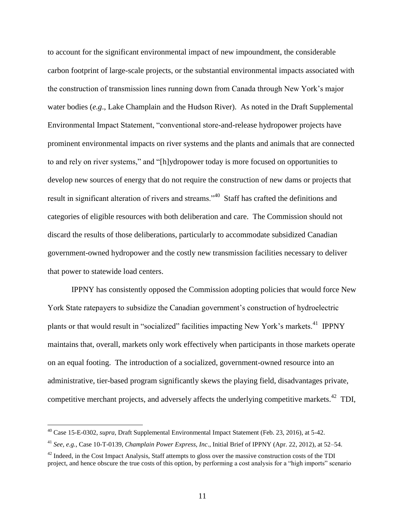to account for the significant environmental impact of new impoundment, the considerable carbon footprint of large-scale projects, or the substantial environmental impacts associated with the construction of transmission lines running down from Canada through New York's major water bodies (*e.g*., Lake Champlain and the Hudson River). As noted in the Draft Supplemental Environmental Impact Statement, "conventional store-and-release hydropower projects have prominent environmental impacts on river systems and the plants and animals that are connected to and rely on river systems," and "[h]ydropower today is more focused on opportunities to develop new sources of energy that do not require the construction of new dams or projects that result in significant alteration of rivers and streams."<sup>40</sup> Staff has crafted the definitions and categories of eligible resources with both deliberation and care. The Commission should not discard the results of those deliberations, particularly to accommodate subsidized Canadian government-owned hydropower and the costly new transmission facilities necessary to deliver that power to statewide load centers.

IPPNY has consistently opposed the Commission adopting policies that would force New York State ratepayers to subsidize the Canadian government's construction of hydroelectric plants or that would result in "socialized" facilities impacting New York's markets.<sup>41</sup> IPPNY maintains that, overall, markets only work effectively when participants in those markets operate on an equal footing. The introduction of a socialized, government-owned resource into an administrative, tier-based program significantly skews the playing field, disadvantages private, competitive merchant projects, and adversely affects the underlying competitive markets.<sup>42</sup> TDI,

<sup>40</sup> Case 15-E-0302, *supra*, Draft Supplemental Environmental Impact Statement (Feb. 23, 2016), at 5-42.

<sup>41</sup> *See, e.g.*, Case 10-T-0139, *Champlain Power Express, Inc*., Initial Brief of IPPNY (Apr. 22, 2012), at 52–54.

 $42$  Indeed, in the Cost Impact Analysis. Staff attempts to gloss over the massive construction costs of the TDI project, and hence obscure the true costs of this option, by performing a cost analysis for a "high imports" scenario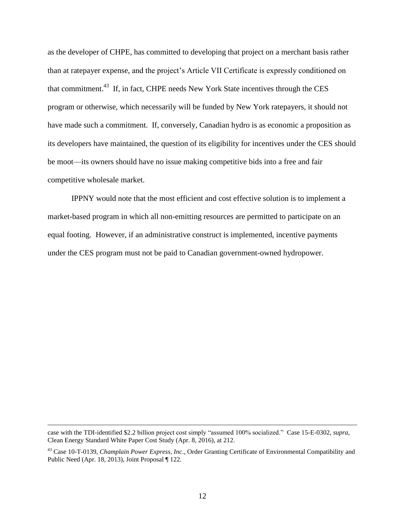as the developer of CHPE, has committed to developing that project on a merchant basis rather than at ratepayer expense, and the project's Article VII Certificate is expressly conditioned on that commitment.<sup>43</sup> If, in fact, CHPE needs New York State incentives through the CES program or otherwise, which necessarily will be funded by New York ratepayers, it should not have made such a commitment. If, conversely, Canadian hydro is as economic a proposition as its developers have maintained, the question of its eligibility for incentives under the CES should be moot—its owners should have no issue making competitive bids into a free and fair competitive wholesale market.

IPPNY would note that the most efficient and cost effective solution is to implement a market-based program in which all non-emitting resources are permitted to participate on an equal footing. However, if an administrative construct is implemented, incentive payments under the CES program must not be paid to Canadian government-owned hydropower.

case with the TDI-identified \$2.2 billion project cost simply "assumed 100% socialized." Case 15-E-0302, *supra*, Clean Energy Standard White Paper Cost Study (Apr. 8, 2016), at 212.

<sup>43</sup> Case 10-T-0139, *Champlain Power Express, Inc*., Order Granting Certificate of Environmental Compatibility and Public Need (Apr. 18, 2013), Joint Proposal ¶ 122.